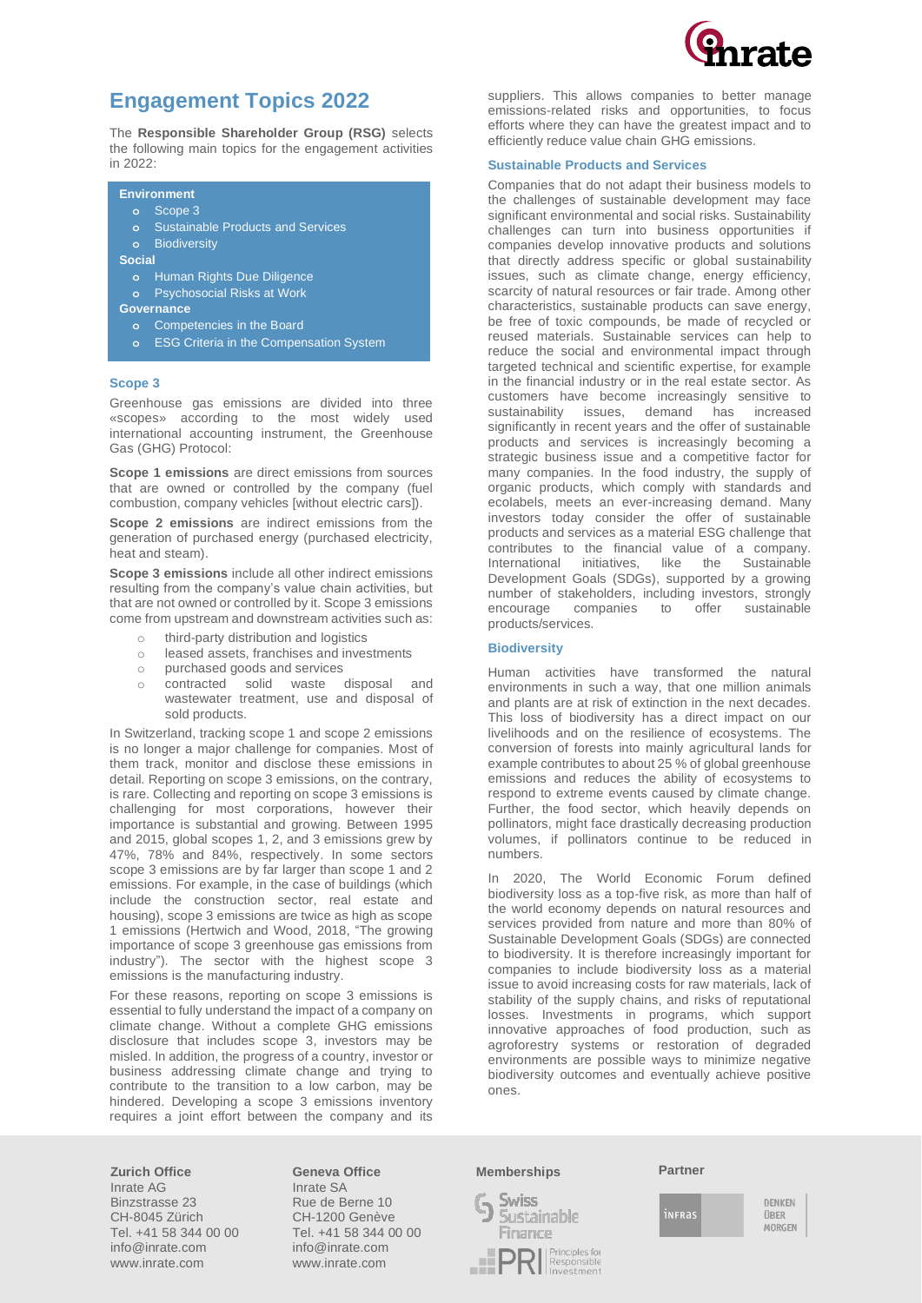

# **Engagement Topics 2022**

The **Responsible Shareholder Group (RSG)** selects the following main topics for the engagement activities in 2022:

## **Environment**

- **o** Scope 3
	- **o** Sustainable Products and Services
	- **o** Biodiversity

**Social** 

- **o** Human Rights Due Diligence
- **o** Psychosocial Risks at Work

**Governance**

- **o** Competencies in the Board
- **o** ESG Criteria in the Compensation System

### **Scope 3**

Greenhouse gas emissions are divided into three «scopes» according to the most widely used international accounting instrument, the Greenhouse Gas (GHG) Protocol:

**Scope 1 emissions** are direct emissions from sources that are owned or controlled by the company (fuel combustion, company vehicles [without electric cars]).

**Scope 2 emissions** are indirect emissions from the generation of purchased energy (purchased electricity, heat and steam).

**Scope 3 emissions** include all other indirect emissions resulting from the company's value chain activities, but that are not owned or controlled by it. Scope 3 emissions come from upstream and downstream activities such as:

- o third-party distribution and logistics
- o leased assets, franchises and investments
- o purchased goods and services
- o contracted solid waste disposal and wastewater treatment, use and disposal of sold products.

In Switzerland, tracking scope 1 and scope 2 emissions is no longer a major challenge for companies. Most of them track, monitor and disclose these emissions in detail. Reporting on scope 3 emissions, on the contrary, is rare. Collecting and reporting on scope 3 emissions is challenging for most corporations, however their importance is substantial and growing. Between 1995 and 2015, global scopes 1, 2, and 3 emissions grew by 47%, 78% and 84%, respectively. In some sectors scope 3 emissions are by far larger than scope 1 and 2 emissions. For example, in the case of buildings (which include the construction sector, real estate and housing), scope 3 emissions are twice as high as scope 1 emissions (Hertwich and Wood, 2018, "The growing importance of scope 3 greenhouse gas emissions from industry"). The sector with the highest scope 3 emissions is the manufacturing industry.

For these reasons, reporting on scope 3 emissions is essential to fully understand the impact of a company on climate change. Without a complete GHG emissions disclosure that includes scope 3, investors may be misled. In addition, the progress of a country, investor or business addressing climate change and trying to contribute to the transition to a low carbon, may be hindered. Developing a scope 3 emissions inventory requires a joint effort between the company and its suppliers. This allows companies to better manage emissions-related risks and opportunities, to focus efforts where they can have the greatest impact and to efficiently reduce value chain GHG emissions.

### **Sustainable Products and Services**

Companies that do not adapt their business models to the challenges of sustainable development may face significant environmental and social risks. Sustainability challenges can turn into business opportunities if companies develop innovative products and solutions that directly address specific or global sustainability issues, such as climate change, energy efficiency, scarcity of natural resources or fair trade. Among other characteristics, sustainable products can save energy, be free of toxic compounds, be made of recycled or reused materials. Sustainable services can help to reduce the social and environmental impact through targeted technical and scientific expertise, for example in the financial industry or in the real estate sector. As customers have become increasingly sensitive to sustainability issues, demand has increased significantly in recent years and the offer of sustainable products and services is increasingly becoming a strategic business issue and a competitive factor for many companies. In the food industry, the supply of organic products, which comply with standards and ecolabels, meets an ever-increasing demand. Many investors today consider the offer of sustainable products and services as a material ESG challenge that contributes to the financial value of a company. International initiatives, like the Sustainable Development Goals (SDGs), supported by a growing number of stakeholders, including investors, strongly encourage companies to offer sustainable products/services.

### **Biodiversity**

Human activities have transformed the natural environments in such a way, that one million animals and plants are at risk of extinction in the next decades. This loss of biodiversity has a direct impact on our livelihoods and on the resilience of ecosystems. The conversion of forests into mainly agricultural lands for example contributes to about 25 % of global greenhouse emissions and reduces the ability of ecosystems to respond to extreme events caused by climate change. Further, the food sector, which heavily depends on pollinators, might face drastically decreasing production volumes, if pollinators continue to be reduced in numbers.

In 2020, The World Economic Forum defined biodiversity loss as a top-five risk, as more than half of the world economy depends on natural resources and services provided from nature and more than 80% of Sustainable Development Goals (SDGs) are connected to biodiversity. It is therefore increasingly important for companies to include biodiversity loss as a material issue to avoid increasing costs for raw materials, lack of stability of the supply chains, and risks of reputational losses. Investments in programs, which support innovative approaches of food production, such as agroforestry systems or restoration of degraded environments are possible ways to minimize negative biodiversity outcomes and eventually achieve positive ones.

**Zurich Office** Inrate AG Binzstrasse 23 CH-8045 Zürich Tel. +41 58 344 00 00 info@inrate.com www.inrate.com

**Geneva Office** Inrate SA Rue de Berne 10 CH-1200 Genève Tel. +41 58 344 00 00 info@inrate.com www.inrate.com

### **Memberships Partner**



infras

DENKEN ÜBER MORGEN